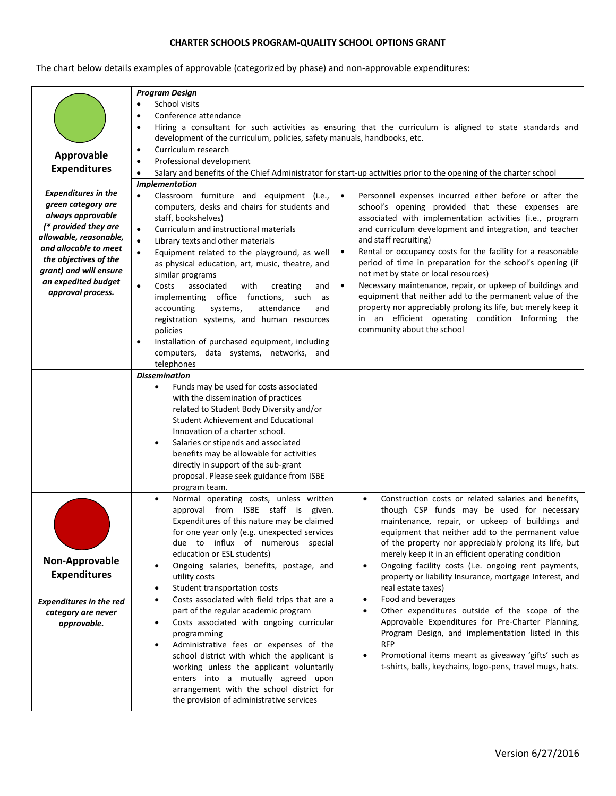## **CHARTER SCHOOLS PROGRAM-QUALITY SCHOOL OPTIONS GRANT**

The chart below details examples of approvable (categorized by phase) and non-approvable expenditures:

|                                                 | <b>Program Design</b>                                                                                                                 |
|-------------------------------------------------|---------------------------------------------------------------------------------------------------------------------------------------|
|                                                 | School visits<br>$\bullet$                                                                                                            |
|                                                 | Conference attendance<br>$\bullet$                                                                                                    |
|                                                 | Hiring a consultant for such activities as ensuring that the curriculum is aligned to state standards and<br>$\bullet$                |
|                                                 | development of the curriculum, policies, safety manuals, handbooks, etc.                                                              |
|                                                 | Curriculum research<br>$\bullet$                                                                                                      |
| Approvable                                      | Professional development<br>$\bullet$                                                                                                 |
| <b>Expenditures</b>                             | Salary and benefits of the Chief Administrator for start-up activities prior to the opening of the charter school<br>$\bullet$        |
|                                                 | Implementation                                                                                                                        |
| <b>Expenditures in the</b>                      | Classroom furniture and equipment (i.e.,<br>Personnel expenses incurred either before or after the<br>$\bullet$                       |
| green category are                              | computers, desks and chairs for students and<br>school's opening provided that these expenses are                                     |
| always approvable                               | staff, bookshelves)<br>associated with implementation activities (i.e., program                                                       |
| (* provided they are                            | and curriculum development and integration, and teacher<br>Curriculum and instructional materials<br>$\bullet$                        |
| allowable, reasonable,<br>and allocable to meet | and staff recruiting)<br>Library texts and other materials<br>$\bullet$                                                               |
| the objectives of the                           | Rental or occupancy costs for the facility for a reasonable<br>Equipment related to the playground, as well<br>$\bullet$<br>$\bullet$ |
| grant) and will ensure                          | period of time in preparation for the school's opening (if<br>as physical education, art, music, theatre, and                         |
| an expedited budget                             | not met by state or local resources)<br>similar programs                                                                              |
| approval process.                               | Necessary maintenance, repair, or upkeep of buildings and<br>$\bullet$<br>Costs<br>associated<br>with<br>creating<br>$\bullet$<br>and |
|                                                 | equipment that neither add to the permanent value of the<br>implementing office functions, such<br>as                                 |
|                                                 | property nor appreciably prolong its life, but merely keep it<br>accounting<br>systems,<br>attendance<br>and                          |
|                                                 | in an efficient operating condition Informing the<br>registration systems, and human resources                                        |
|                                                 | community about the school<br>policies                                                                                                |
|                                                 | Installation of purchased equipment, including<br>٠                                                                                   |
|                                                 | computers, data systems, networks, and                                                                                                |
|                                                 | telephones<br><b>Dissemination</b>                                                                                                    |
|                                                 | Funds may be used for costs associated<br>$\bullet$                                                                                   |
|                                                 | with the dissemination of practices                                                                                                   |
|                                                 | related to Student Body Diversity and/or                                                                                              |
|                                                 | <b>Student Achievement and Educational</b>                                                                                            |
|                                                 | Innovation of a charter school.                                                                                                       |
|                                                 | Salaries or stipends and associated                                                                                                   |
|                                                 | benefits may be allowable for activities                                                                                              |
|                                                 | directly in support of the sub-grant                                                                                                  |
|                                                 | proposal. Please seek guidance from ISBE                                                                                              |
|                                                 | program team.                                                                                                                         |
|                                                 | Construction costs or related salaries and benefits,<br>Normal operating costs, unless written<br>$\bullet$                           |
|                                                 | approval from ISBE staff is given.<br>though CSP funds may be used for necessary                                                      |
|                                                 | Expenditures of this nature may be claimed<br>maintenance, repair, or upkeep of buildings and                                         |
|                                                 | equipment that neither add to the permanent value<br>for one year only (e.g. unexpected services                                      |
|                                                 | due to influx of numerous special<br>of the property nor appreciably prolong its life, but                                            |
|                                                 | education or ESL students)<br>merely keep it in an efficient operating condition                                                      |
| Non-Approvable                                  | Ongoing salaries, benefits, postage, and<br>Ongoing facility costs (i.e. ongoing rent payments,                                       |
| <b>Expenditures</b>                             | property or liability Insurance, mortgage Interest, and<br>utility costs                                                              |
|                                                 | real estate taxes)<br>Student transportation costs<br>٠                                                                               |
| <b>Expenditures in the red</b>                  | Food and beverages<br>Costs associated with field trips that are a<br>$\bullet$                                                       |
| category are never                              | Other expenditures outside of the scope of the<br>part of the regular academic program                                                |
| approvable.                                     | Approvable Expenditures for Pre-Charter Planning,<br>Costs associated with ongoing curricular<br>٠                                    |
|                                                 | Program Design, and implementation listed in this<br>programming                                                                      |
|                                                 | <b>RFP</b><br>Administrative fees or expenses of the                                                                                  |
|                                                 | Promotional items meant as giveaway 'gifts' such as<br>school district with which the applicant is                                    |
|                                                 | t-shirts, balls, keychains, logo-pens, travel mugs, hats.<br>working unless the applicant voluntarily                                 |
|                                                 | enters into a mutually agreed upon                                                                                                    |
|                                                 | arrangement with the school district for                                                                                              |
|                                                 | the provision of administrative services                                                                                              |